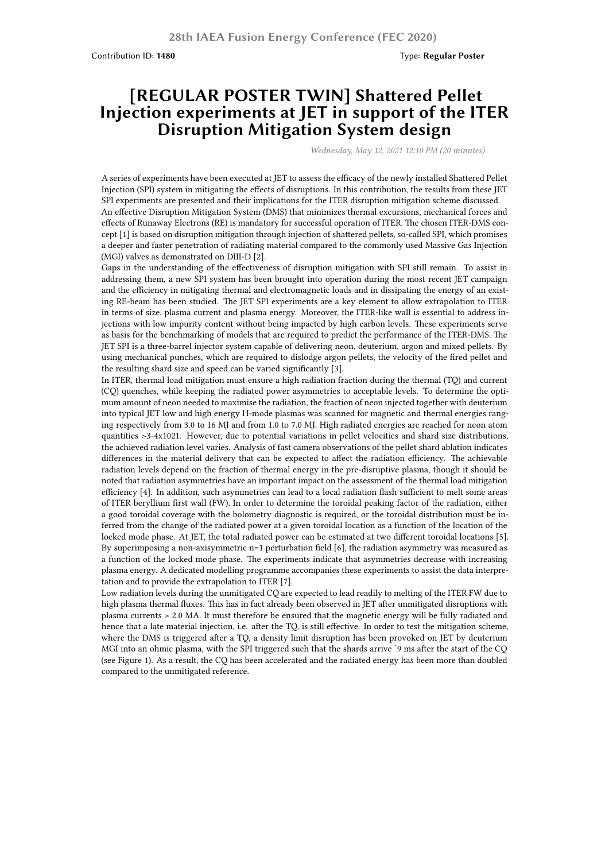## **[REGULAR POSTER TWIN] Shattered Pellet Injection experiments at JET in support of the ITER Disruption Mitigation System design**

*Wednesday, May 12, 2021 12:10 PM (20 minutes)*

A series of experiments have been executed at JET to assess the efficacy of the newly installed Shattered Pellet Injection (SPI) system in mitigating the effects of disruptions. In this contribution, the results from these JET SPI experiments are presented and their implications for the ITER disruption mitigation scheme discussed. An effective Disruption Mitigation System (DMS) that minimizes thermal excursions, mechanical forces and effects of Runaway Electrons (RE) is mandatory for successful operation of ITER. The chosen ITER-DMS concept [1] is based on disruption mitigation through injection of shattered pellets, so-called SPI, which promises a deeper and faster penetration of radiating material compared to the commonly used Massive Gas Injection (MGI) valves as demonstrated on DIII-D [2].

Gaps in the understanding of the effectiveness of disruption mitigation with SPI still remain. To assist in addressing them, a new SPI system has been brought into operation during the most recent JET campaign and the efficiency in mitigating thermal and electromagnetic loads and in dissipating the energy of an existing RE-beam has been studied. The JET SPI experiments are a key element to allow extrapolation to ITER in terms of size, plasma current and plasma energy. Moreover, the ITER-like wall is essential to address injections with low impurity content without being impacted by high carbon levels. These experiments serve as basis for the benchmarking of models that are required to predict the performance of the ITER-DMS. The JET SPI is a three-barrel injector system capable of delivering neon, deuterium, argon and mixed pellets. By using mechanical punches, which are required to dislodge argon pellets, the velocity of the fired pellet and the resulting shard size and speed can be varied significantly [3].

In ITER, thermal load mitigation must ensure a high radiation fraction during the thermal (TQ) and current (CQ) quenches, while keeping the radiated power asymmetries to acceptable levels. To determine the optimum amount of neon needed to maximise the radiation, the fraction of neon injected together with deuterium into typical JET low and high energy H-mode plasmas was scanned for magnetic and thermal energies ranging respectively from 3.0 to 16 MJ and from 1.0 to 7.0 MJ. High radiated energies are reached for neon atom quantities >3-4x1021. However, due to potential variations in pellet velocities and shard size distributions, the achieved radiation level varies. Analysis of fast camera observations of the pellet shard ablation indicates differences in the material delivery that can be expected to affect the radiation efficiency. The achievable radiation levels depend on the fraction of thermal energy in the pre-disruptive plasma, though it should be noted that radiation asymmetries have an important impact on the assessment of the thermal load mitigation efficiency [4]. In addition, such asymmetries can lead to a local radiation flash sufficient to melt some areas of ITER beryllium first wall (FW). In order to determine the toroidal peaking factor of the radiation, either a good toroidal coverage with the bolometry diagnostic is required, or the toroidal distribution must be inferred from the change of the radiated power at a given toroidal location as a function of the location of the locked mode phase. At JET, the total radiated power can be estimated at two different toroidal locations [5]. By superimposing a non-axisymmetric n=1 perturbation field [6], the radiation asymmetry was measured as a function of the locked mode phase. The experiments indicate that asymmetries decrease with increasing plasma energy. A dedicated modelling programme accompanies these experiments to assist the data interpretation and to provide the extrapolation to ITER [7].

Low radiation levels during the unmitigated CQ are expected to lead readily to melting of the ITER FW due to high plasma thermal fluxes. This has in fact already been observed in JET after unmitigated disruptions with plasma currents > 2.0 MA. It must therefore be ensured that the magnetic energy will be fully radiated and hence that a late material injection, i.e. after the TQ, is still effective. In order to test the mitigation scheme, where the DMS is triggered after a TQ, a density limit disruption has been provoked on JET by deuterium MGI into an ohmic plasma, with the SPI triggered such that the shards arrive ˜9 ms after the start of the CQ (see Figure 1). As a result, the CQ has been accelerated and the radiated energy has been more than doubled compared to the unmitigated reference.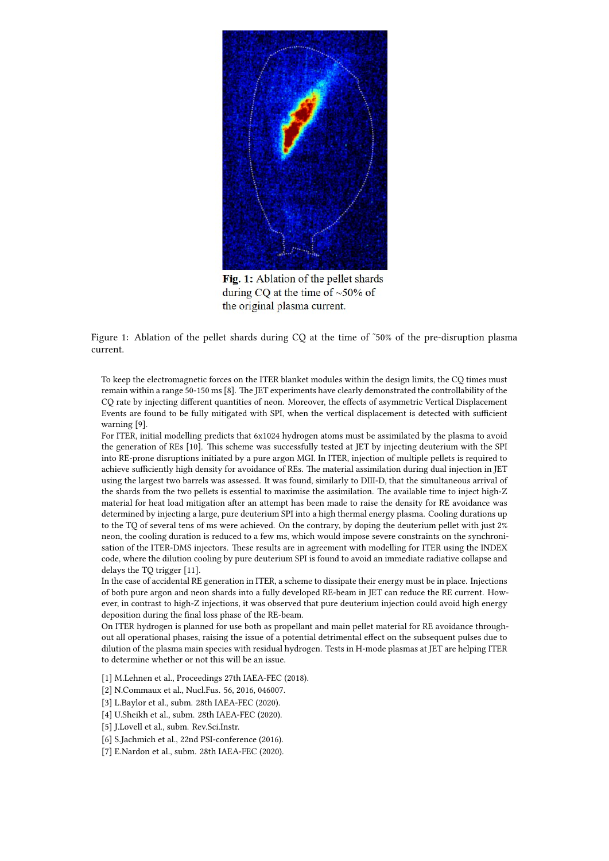

Fig. 1: Ablation of the pellet shards during CQ at the time of  $~50\%$  of the original plasma current.

Figure 1: Ablation of the pellet shards during CQ at the time of ~50% of the pre-disruption plasma current.

To keep the electromagnetic forces on the ITER blanket modules within the design limits, the CQ times must remain within a range 50-150 ms [8]. The JET experiments have clearly demonstrated the controllability of the CQ rate by injecting different quantities of neon. Moreover, the effects of asymmetric Vertical Displacement Events are found to be fully mitigated with SPI, when the vertical displacement is detected with sufficient warning [9].

For ITER, initial modelling predicts that 6x1024 hydrogen atoms must be assimilated by the plasma to avoid the generation of REs [10]. This scheme was successfully tested at JET by injecting deuterium with the SPI into RE-prone disruptions initiated by a pure argon MGI. In ITER, injection of multiple pellets is required to achieve sufficiently high density for avoidance of REs. The material assimilation during dual injection in JET using the largest two barrels was assessed. It was found, similarly to DIII-D, that the simultaneous arrival of the shards from the two pellets is essential to maximise the assimilation. The available time to inject high-Z material for heat load mitigation after an attempt has been made to raise the density for RE avoidance was determined by injecting a large, pure deuterium SPI into a high thermal energy plasma. Cooling durations up to the TQ of several tens of ms were achieved. On the contrary, by doping the deuterium pellet with just 2% neon, the cooling duration is reduced to a few ms, which would impose severe constraints on the synchronisation of the ITER-DMS injectors. These results are in agreement with modelling for ITER using the INDEX code, where the dilution cooling by pure deuterium SPI is found to avoid an immediate radiative collapse and delays the TQ trigger [11].

In the case of accidental RE generation in ITER, a scheme to dissipate their energy must be in place. Injections of both pure argon and neon shards into a fully developed RE-beam in JET can reduce the RE current. However, in contrast to high-Z injections, it was observed that pure deuterium injection could avoid high energy deposition during the final loss phase of the RE-beam.

On ITER hydrogen is planned for use both as propellant and main pellet material for RE avoidance throughout all operational phases, raising the issue of a potential detrimental effect on the subsequent pulses due to dilution of the plasma main species with residual hydrogen. Tests in H-mode plasmas at JET are helping ITER to determine whether or not this will be an issue.

- [1] M.Lehnen et al., Proceedings 27th IAEA-FEC (2018).
- [2] N.Commaux et al., Nucl.Fus. 56, 2016, 046007.
- [3] L.Baylor et al., subm. 28th IAEA-FEC (2020).
- [4] U.Sheikh et al., subm. 28th IAEA-FEC (2020).
- [5] J.Lovell et al., subm. Rev.Sci.Instr.
- [6] S.Jachmich et al., 22nd PSI-conference (2016).
- [7] E.Nardon et al., subm. 28th IAEA-FEC (2020).